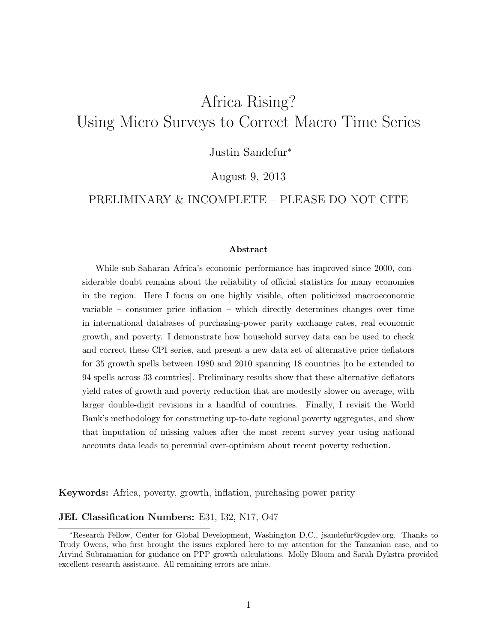# Africa Rising? Using Micro Surveys to Correct Macro Time Series

Justin Sandefur<sup>∗</sup>

August 9, 2013

### PRELIMINARY & INCOMPLETE – PLEASE DO NOT CITE

#### Abstract

While sub-Saharan Africa's economic performance has improved since 2000, considerable doubt remains about the reliability of official statistics for many economies in the region. Here I focus on one highly visible, often politicized macroeconomic variable – consumer price inflation – which directly determines changes over time in international databases of purchasing-power parity exchange rates, real economic growth, and poverty. I demonstrate how household survey data can be used to check and correct these CPI series, and present a new data set of alternative price deflators for 35 growth spells between 1980 and 2010 spanning 18 countries [to be extended to 94 spells across 33 countries]. Preliminary results show that these alternative deflators yield rates of growth and poverty reduction that are modestly slower on average, with larger double-digit revisions in a handful of countries. Finally, I revisit the World Bank's methodology for constructing up-to-date regional poverty aggregates, and show that imputation of missing values after the most recent survey year using national accounts data leads to perennial over-optimism about recent poverty reduction.

Keywords: Africa, poverty, growth, inflation, purchasing power parity

#### JEL Classification Numbers: E31, I32, N17, O47

<sup>∗</sup>Research Fellow, Center for Global Development, Washington D.C., jsandefur@cgdev.org. Thanks to Trudy Owens, who first brought the issues explored here to my attention for the Tanzanian case, and to Arvind Subramanian for guidance on PPP growth calculations. Molly Bloom and Sarah Dykstra provided excellent research assistance. All remaining errors are mine.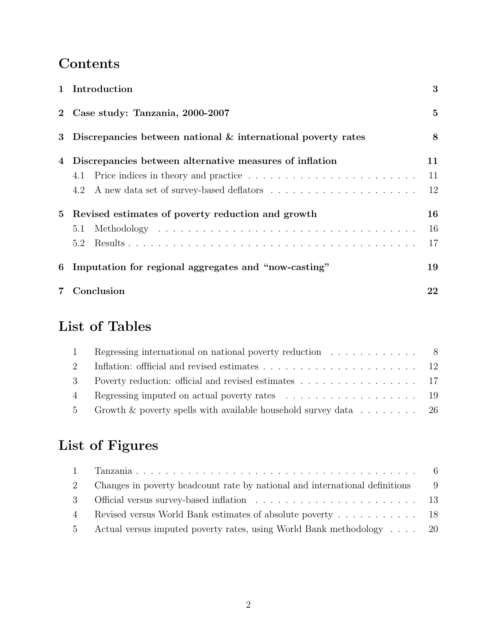# Contents

|             | 1 Introduction                                                 | 3               |
|-------------|----------------------------------------------------------------|-----------------|
|             | 2 Case study: Tanzania, 2000-2007                              | $5\overline{)}$ |
|             | 3 Discrepancies between national & international poverty rates | 8               |
| 4           | Discrepancies between alternative measures of inflation        | 11              |
|             | 4.1                                                            | 11              |
|             | 4.2                                                            | 12              |
| $5^{\circ}$ | Revised estimates of poverty reduction and growth              | 16              |
|             | 5.1                                                            | 16              |
|             | 5.2                                                            | 17              |
|             | 6 Imputation for regional aggregates and "now-casting"         | 19              |
| $7\,$       | Conclusion                                                     | 22              |

## List of Tables

| $\mathbf{1}$ | Regressing international on national poverty reduction $\dots \dots \dots \dots$ |  |
|--------------|----------------------------------------------------------------------------------|--|
|              |                                                                                  |  |
|              |                                                                                  |  |
|              |                                                                                  |  |
|              | 5 Growth & poverty spells with available household survey data 26                |  |

# List of Figures

| 2              | Changes in poverty headcount rate by national and international definitions | - 9 |
|----------------|-----------------------------------------------------------------------------|-----|
|                |                                                                             |     |
| $\overline{4}$ | Revised versus World Bank estimates of absolute poverty 18                  |     |
|                | 5 Actual versus imputed poverty rates, using World Bank methodology 20      |     |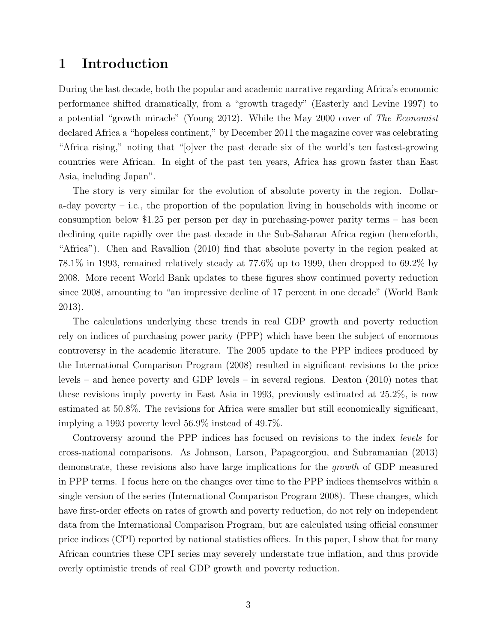### 1 Introduction

During the last decade, both the popular and academic narrative regarding Africa's economic performance shifted dramatically, from a "growth tragedy" (Easterly and Levine 1997) to a potential "growth miracle" (Young 2012). While the May 2000 cover of The Economist declared Africa a "hopeless continent," by December 2011 the magazine cover was celebrating "Africa rising," noting that "[o]ver the past decade six of the world's ten fastest-growing countries were African. In eight of the past ten years, Africa has grown faster than East Asia, including Japan".

The story is very similar for the evolution of absolute poverty in the region. Dollara-day poverty  $-$  i.e., the proportion of the population living in households with income or consumption below \$1.25 per person per day in purchasing-power parity terms – has been declining quite rapidly over the past decade in the Sub-Saharan Africa region (henceforth, "Africa"). Chen and Ravallion (2010) find that absolute poverty in the region peaked at 78.1% in 1993, remained relatively steady at 77.6% up to 1999, then dropped to 69.2% by 2008. More recent World Bank updates to these figures show continued poverty reduction since 2008, amounting to "an impressive decline of 17 percent in one decade" (World Bank 2013).

The calculations underlying these trends in real GDP growth and poverty reduction rely on indices of purchasing power parity (PPP) which have been the subject of enormous controversy in the academic literature. The 2005 update to the PPP indices produced by the International Comparison Program (2008) resulted in significant revisions to the price levels – and hence poverty and GDP levels – in several regions. Deaton (2010) notes that these revisions imply poverty in East Asia in 1993, previously estimated at 25.2%, is now estimated at 50.8%. The revisions for Africa were smaller but still economically significant, implying a 1993 poverty level 56.9% instead of 49.7%.

Controversy around the PPP indices has focused on revisions to the index levels for cross-national comparisons. As Johnson, Larson, Papageorgiou, and Subramanian (2013) demonstrate, these revisions also have large implications for the growth of GDP measured in PPP terms. I focus here on the changes over time to the PPP indices themselves within a single version of the series (International Comparison Program 2008). These changes, which have first-order effects on rates of growth and poverty reduction, do not rely on independent data from the International Comparison Program, but are calculated using official consumer price indices (CPI) reported by national statistics offices. In this paper, I show that for many African countries these CPI series may severely understate true inflation, and thus provide overly optimistic trends of real GDP growth and poverty reduction.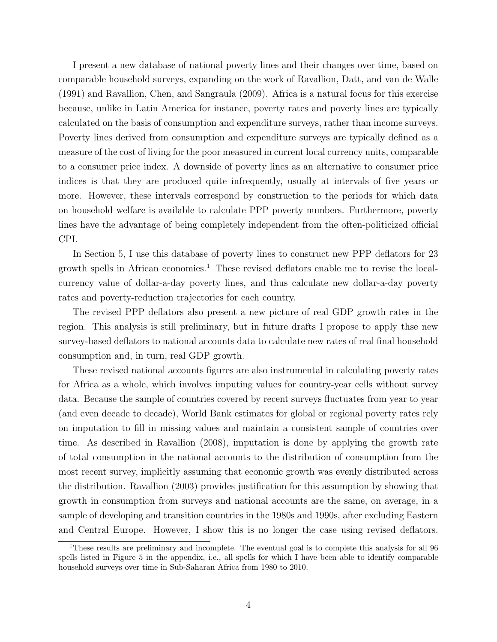I present a new database of national poverty lines and their changes over time, based on comparable household surveys, expanding on the work of Ravallion, Datt, and van de Walle (1991) and Ravallion, Chen, and Sangraula (2009). Africa is a natural focus for this exercise because, unlike in Latin America for instance, poverty rates and poverty lines are typically calculated on the basis of consumption and expenditure surveys, rather than income surveys. Poverty lines derived from consumption and expenditure surveys are typically defined as a measure of the cost of living for the poor measured in current local currency units, comparable to a consumer price index. A downside of poverty lines as an alternative to consumer price indices is that they are produced quite infrequently, usually at intervals of five years or more. However, these intervals correspond by construction to the periods for which data on household welfare is available to calculate PPP poverty numbers. Furthermore, poverty lines have the advantage of being completely independent from the often-politicized official CPI.

In Section 5, I use this database of poverty lines to construct new PPP deflators for 23 growth spells in African economies.<sup>1</sup> These revised deflators enable me to revise the localcurrency value of dollar-a-day poverty lines, and thus calculate new dollar-a-day poverty rates and poverty-reduction trajectories for each country.

The revised PPP deflators also present a new picture of real GDP growth rates in the region. This analysis is still preliminary, but in future drafts I propose to apply thse new survey-based deflators to national accounts data to calculate new rates of real final household consumption and, in turn, real GDP growth.

These revised national accounts figures are also instrumental in calculating poverty rates for Africa as a whole, which involves imputing values for country-year cells without survey data. Because the sample of countries covered by recent surveys fluctuates from year to year (and even decade to decade), World Bank estimates for global or regional poverty rates rely on imputation to fill in missing values and maintain a consistent sample of countries over time. As described in Ravallion (2008), imputation is done by applying the growth rate of total consumption in the national accounts to the distribution of consumption from the most recent survey, implicitly assuming that economic growth was evenly distributed across the distribution. Ravallion (2003) provides justification for this assumption by showing that growth in consumption from surveys and national accounts are the same, on average, in a sample of developing and transition countries in the 1980s and 1990s, after excluding Eastern and Central Europe. However, I show this is no longer the case using revised deflators.

<sup>&</sup>lt;sup>1</sup>These results are preliminary and incomplete. The eventual goal is to complete this analysis for all 96 spells listed in Figure 5 in the appendix, i.e., all spells for which I have been able to identify comparable household surveys over time in Sub-Saharan Africa from 1980 to 2010.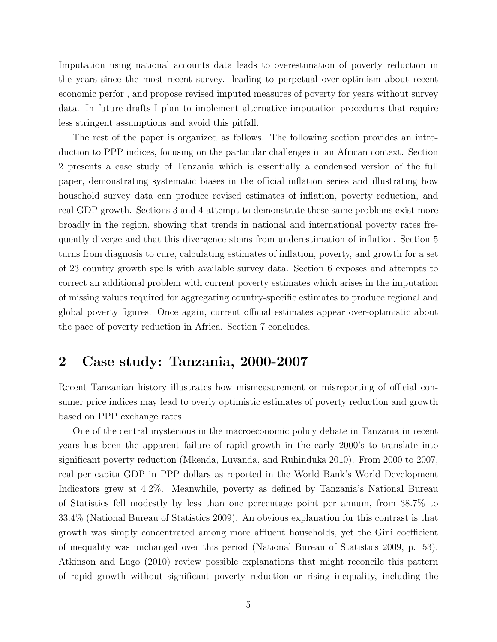Imputation using national accounts data leads to overestimation of poverty reduction in the years since the most recent survey. leading to perpetual over-optimism about recent economic perfor , and propose revised imputed measures of poverty for years without survey data. In future drafts I plan to implement alternative imputation procedures that require less stringent assumptions and avoid this pitfall.

The rest of the paper is organized as follows. The following section provides an introduction to PPP indices, focusing on the particular challenges in an African context. Section 2 presents a case study of Tanzania which is essentially a condensed version of the full paper, demonstrating systematic biases in the official inflation series and illustrating how household survey data can produce revised estimates of inflation, poverty reduction, and real GDP growth. Sections 3 and 4 attempt to demonstrate these same problems exist more broadly in the region, showing that trends in national and international poverty rates frequently diverge and that this divergence stems from underestimation of inflation. Section 5 turns from diagnosis to cure, calculating estimates of inflation, poverty, and growth for a set of 23 country growth spells with available survey data. Section 6 exposes and attempts to correct an additional problem with current poverty estimates which arises in the imputation of missing values required for aggregating country-specific estimates to produce regional and global poverty figures. Once again, current official estimates appear over-optimistic about the pace of poverty reduction in Africa. Section 7 concludes.

### 2 Case study: Tanzania, 2000-2007

Recent Tanzanian history illustrates how mismeasurement or misreporting of official consumer price indices may lead to overly optimistic estimates of poverty reduction and growth based on PPP exchange rates.

One of the central mysterious in the macroeconomic policy debate in Tanzania in recent years has been the apparent failure of rapid growth in the early 2000's to translate into significant poverty reduction (Mkenda, Luvanda, and Ruhinduka 2010). From 2000 to 2007, real per capita GDP in PPP dollars as reported in the World Bank's World Development Indicators grew at 4.2%. Meanwhile, poverty as defined by Tanzania's National Bureau of Statistics fell modestly by less than one percentage point per annum, from 38.7% to 33.4% (National Bureau of Statistics 2009). An obvious explanation for this contrast is that growth was simply concentrated among more affluent households, yet the Gini coefficient of inequality was unchanged over this period (National Bureau of Statistics 2009, p. 53). Atkinson and Lugo (2010) review possible explanations that might reconcile this pattern of rapid growth without significant poverty reduction or rising inequality, including the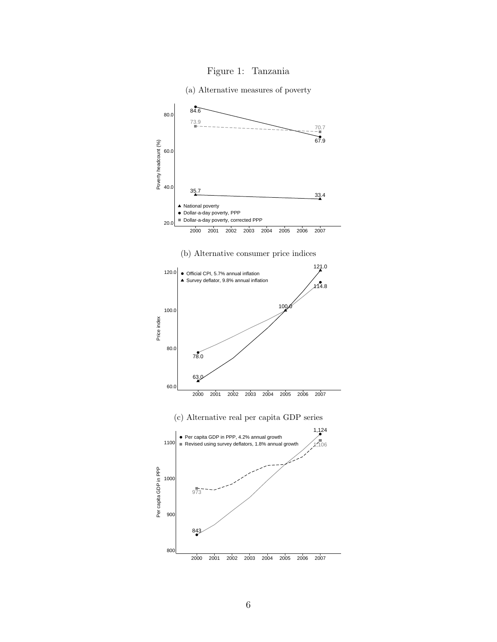



(a) Alternative measures of poverty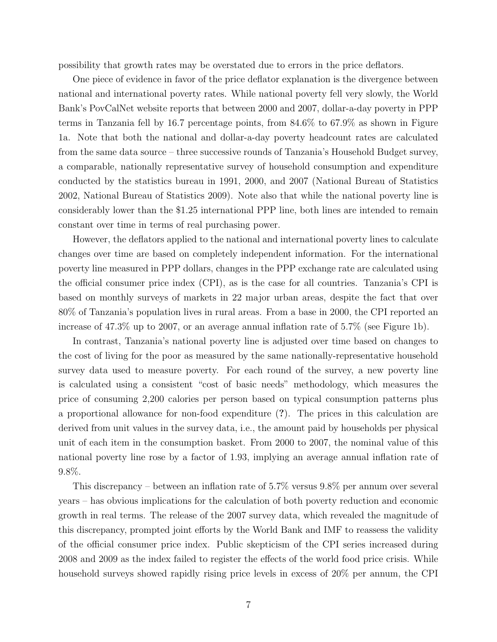possibility that growth rates may be overstated due to errors in the price deflators.

One piece of evidence in favor of the price deflator explanation is the divergence between national and international poverty rates. While national poverty fell very slowly, the World Bank's PovCalNet website reports that between 2000 and 2007, dollar-a-day poverty in PPP terms in Tanzania fell by 16.7 percentage points, from 84.6% to 67.9% as shown in Figure 1a. Note that both the national and dollar-a-day poverty headcount rates are calculated from the same data source – three successive rounds of Tanzania's Household Budget survey, a comparable, nationally representative survey of household consumption and expenditure conducted by the statistics bureau in 1991, 2000, and 2007 (National Bureau of Statistics 2002, National Bureau of Statistics 2009). Note also that while the national poverty line is considerably lower than the \$1.25 international PPP line, both lines are intended to remain constant over time in terms of real purchasing power.

However, the deflators applied to the national and international poverty lines to calculate changes over time are based on completely independent information. For the international poverty line measured in PPP dollars, changes in the PPP exchange rate are calculated using the official consumer price index (CPI), as is the case for all countries. Tanzania's CPI is based on monthly surveys of markets in 22 major urban areas, despite the fact that over 80% of Tanzania's population lives in rural areas. From a base in 2000, the CPI reported an increase of 47.3% up to 2007, or an average annual inflation rate of 5.7% (see Figure 1b).

In contrast, Tanzania's national poverty line is adjusted over time based on changes to the cost of living for the poor as measured by the same nationally-representative household survey data used to measure poverty. For each round of the survey, a new poverty line is calculated using a consistent "cost of basic needs" methodology, which measures the price of consuming 2,200 calories per person based on typical consumption patterns plus a proportional allowance for non-food expenditure (?). The prices in this calculation are derived from unit values in the survey data, i.e., the amount paid by households per physical unit of each item in the consumption basket. From 2000 to 2007, the nominal value of this national poverty line rose by a factor of 1.93, implying an average annual inflation rate of 9.8%.

This discrepancy – between an inflation rate of 5.7% versus 9.8% per annum over several years – has obvious implications for the calculation of both poverty reduction and economic growth in real terms. The release of the 2007 survey data, which revealed the magnitude of this discrepancy, prompted joint efforts by the World Bank and IMF to reassess the validity of the official consumer price index. Public skepticism of the CPI series increased during 2008 and 2009 as the index failed to register the effects of the world food price crisis. While household surveys showed rapidly rising price levels in excess of 20% per annum, the CPI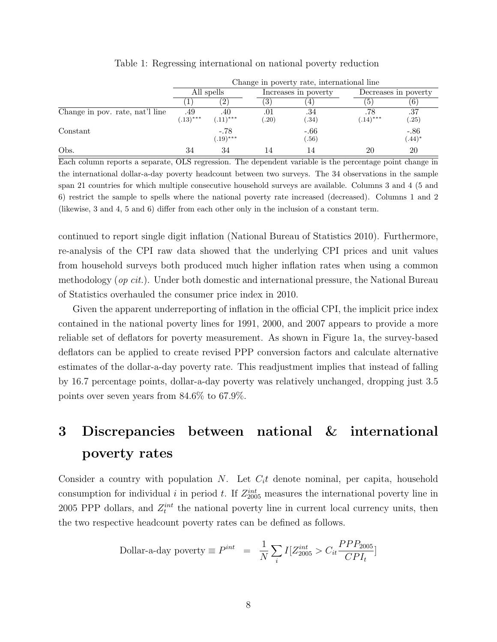|                                 |                    | Change in poverty rate, international line |              |                      |                    |                      |
|---------------------------------|--------------------|--------------------------------------------|--------------|----------------------|--------------------|----------------------|
|                                 |                    | All spells                                 |              | Increases in poverty |                    | Decreases in poverty |
|                                 |                    |                                            | $\mathbf{d}$ |                      | $\mathbf{D}$       | (6)                  |
| Change in pov. rate, nat'l line | .49<br>$(.13)$ *** | .40<br>$(.11)$ ***                         | .01<br>.20)  | .34<br>(.34)         | .78<br>$(.14)$ *** | .37<br>(.25)         |
| Constant                        |                    | -.78<br>$(.19)$ ***                        |              | $-.66$<br>(.56)      |                    | $-.86$<br>$(.44)^*$  |
| Obs.                            | 34                 | 34                                         |              | 14                   | 20                 | 20                   |

#### Table 1: Regressing international on national poverty reduction

Each column reports a separate, OLS regression. The dependent variable is the percentage point change in the international dollar-a-day poverty headcount between two surveys. The 34 observations in the sample span 21 countries for which multiple consecutive household surveys are available. Columns 3 and 4 (5 and 6) restrict the sample to spells where the national poverty rate increased (decreased). Columns 1 and 2 (likewise, 3 and 4, 5 and 6) differ from each other only in the inclusion of a constant term.

continued to report single digit inflation (National Bureau of Statistics 2010). Furthermore, re-analysis of the CPI raw data showed that the underlying CPI prices and unit values from household surveys both produced much higher inflation rates when using a common methodology (*op cit.*). Under both domestic and international pressure, the National Bureau of Statistics overhauled the consumer price index in 2010.

Given the apparent underreporting of inflation in the official CPI, the implicit price index contained in the national poverty lines for 1991, 2000, and 2007 appears to provide a more reliable set of deflators for poverty measurement. As shown in Figure 1a, the survey-based deflators can be applied to create revised PPP conversion factors and calculate alternative estimates of the dollar-a-day poverty rate. This readjustment implies that instead of falling by 16.7 percentage points, dollar-a-day poverty was relatively unchanged, dropping just 3.5 points over seven years from 84.6% to 67.9%.

# 3 Discrepancies between national & international poverty rates

Consider a country with population  $N$ . Let  $C<sub>i</sub>t$  denote nominal, per capita, household consumption for individual i in period t. If  $Z_{2005}^{int}$  measures the international poverty line in 2005 PPP dollars, and  $Z_t^{int}$  the national poverty line in current local currency units, then the two respective headcount poverty rates can be defined as follows.

Dollar-a-day powerty 
$$
\equiv P^{int} = \frac{1}{N} \sum_{i} I[Z_{2005}^{int} > C_{it} \frac{PPP_{2005}}{CPI_t}]
$$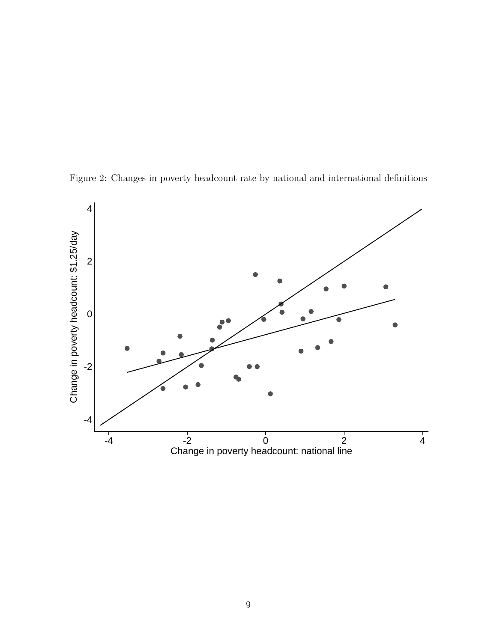

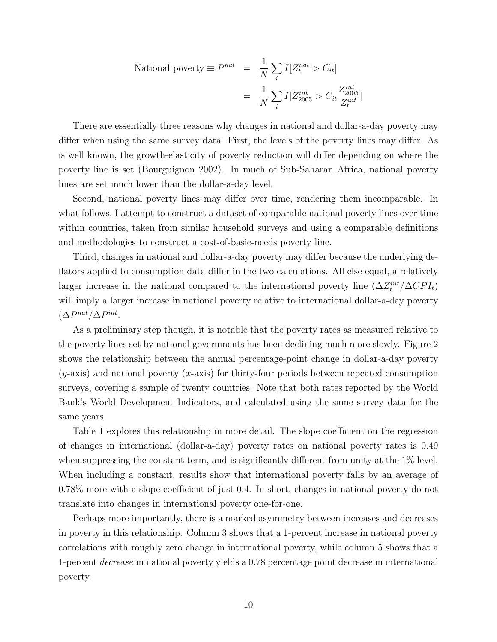National powerty 
$$
\equiv P^{nat}
$$
  $= \frac{1}{N} \sum_{i} I[Z^{nat}_{t} > C_{it}]$   
 $= \frac{1}{N} \sum_{i} I[Z^{int}_{2005} > C_{it} \frac{Z^{int}_{2005}}{Z^{int}_{t}}$ 

]

There are essentially three reasons why changes in national and dollar-a-day poverty may differ when using the same survey data. First, the levels of the poverty lines may differ. As is well known, the growth-elasticity of poverty reduction will differ depending on where the poverty line is set (Bourguignon 2002). In much of Sub-Saharan Africa, national poverty lines are set much lower than the dollar-a-day level.

Second, national poverty lines may differ over time, rendering them incomparable. In what follows, I attempt to construct a dataset of comparable national poverty lines over time within countries, taken from similar household surveys and using a comparable definitions and methodologies to construct a cost-of-basic-needs poverty line.

Third, changes in national and dollar-a-day poverty may differ because the underlying deflators applied to consumption data differ in the two calculations. All else equal, a relatively larger increase in the national compared to the international poverty line  $(\Delta Z_t^{int}/\Delta CPI_t)$ will imply a larger increase in national poverty relative to international dollar-a-day poverty  $(\Delta P^{nat}/\Delta P^{int})$ .

As a preliminary step though, it is notable that the poverty rates as measured relative to the poverty lines set by national governments has been declining much more slowly. Figure 2 shows the relationship between the annual percentage-point change in dollar-a-day poverty  $(y\text{-axis})$  and national poverty  $(x\text{-axis})$  for thirty-four periods between repeated consumption surveys, covering a sample of twenty countries. Note that both rates reported by the World Bank's World Development Indicators, and calculated using the same survey data for the same years.

Table 1 explores this relationship in more detail. The slope coefficient on the regression of changes in international (dollar-a-day) poverty rates on national poverty rates is 0.49 when suppressing the constant term, and is significantly different from unity at the 1\% level. When including a constant, results show that international poverty falls by an average of 0.78% more with a slope coefficient of just 0.4. In short, changes in national poverty do not translate into changes in international poverty one-for-one.

Perhaps more importantly, there is a marked asymmetry between increases and decreases in poverty in this relationship. Column 3 shows that a 1-percent increase in national poverty correlations with roughly zero change in international poverty, while column 5 shows that a 1-percent decrease in national poverty yields a 0.78 percentage point decrease in international poverty.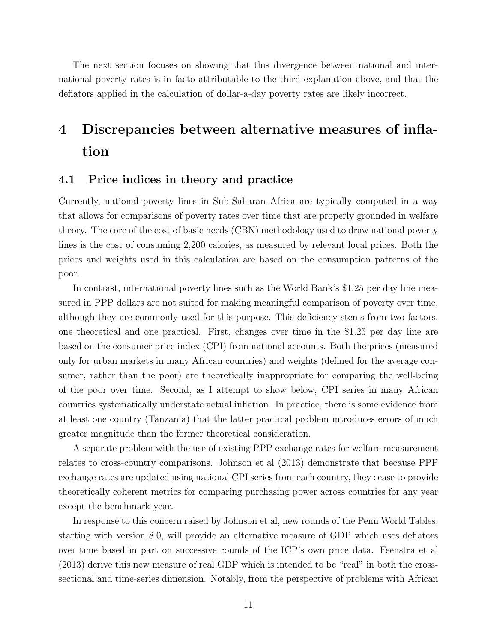The next section focuses on showing that this divergence between national and international poverty rates is in facto attributable to the third explanation above, and that the deflators applied in the calculation of dollar-a-day poverty rates are likely incorrect.

# 4 Discrepancies between alternative measures of inflation

### 4.1 Price indices in theory and practice

Currently, national poverty lines in Sub-Saharan Africa are typically computed in a way that allows for comparisons of poverty rates over time that are properly grounded in welfare theory. The core of the cost of basic needs (CBN) methodology used to draw national poverty lines is the cost of consuming 2,200 calories, as measured by relevant local prices. Both the prices and weights used in this calculation are based on the consumption patterns of the poor.

In contrast, international poverty lines such as the World Bank's \$1.25 per day line measured in PPP dollars are not suited for making meaningful comparison of poverty over time, although they are commonly used for this purpose. This deficiency stems from two factors, one theoretical and one practical. First, changes over time in the \$1.25 per day line are based on the consumer price index (CPI) from national accounts. Both the prices (measured only for urban markets in many African countries) and weights (defined for the average consumer, rather than the poor) are theoretically inappropriate for comparing the well-being of the poor over time. Second, as I attempt to show below, CPI series in many African countries systematically understate actual inflation. In practice, there is some evidence from at least one country (Tanzania) that the latter practical problem introduces errors of much greater magnitude than the former theoretical consideration.

A separate problem with the use of existing PPP exchange rates for welfare measurement relates to cross-country comparisons. Johnson et al (2013) demonstrate that because PPP exchange rates are updated using national CPI series from each country, they cease to provide theoretically coherent metrics for comparing purchasing power across countries for any year except the benchmark year.

In response to this concern raised by Johnson et al, new rounds of the Penn World Tables, starting with version 8.0, will provide an alternative measure of GDP which uses deflators over time based in part on successive rounds of the ICP's own price data. Feenstra et al (2013) derive this new measure of real GDP which is intended to be "real" in both the crosssectional and time-series dimension. Notably, from the perspective of problems with African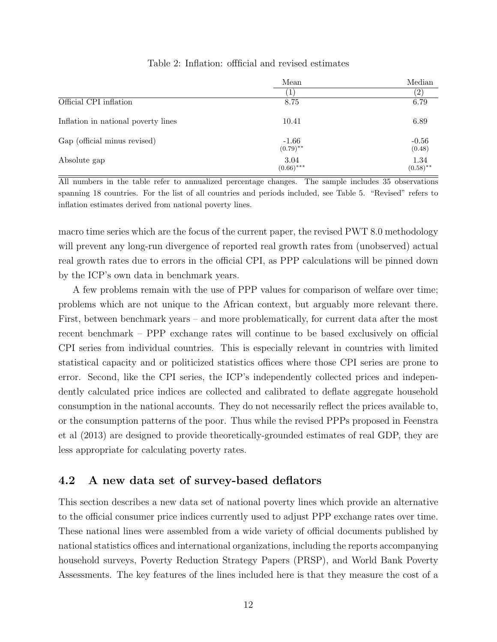|                                     | Mean                   | Median              |
|-------------------------------------|------------------------|---------------------|
|                                     |                        | $^{\prime}2$ .      |
| Official CPI inflation              | 8.75                   | 6.79                |
| Inflation in national poverty lines | 10.41                  | 6.89                |
| Gap (official minus revised)        | $-1.66$<br>$(0.79)$ ** | $-0.56$<br>(0.48)   |
| Absolute gap                        | 3.04<br>$(0.66)$ ***   | 1.34<br>$(0.58)$ ** |

#### Table 2: Inflation: offficial and revised estimates

All numbers in the table refer to annualized percentage changes. The sample includes 35 observations spanning 18 countries. For the list of all countries and periods included, see Table 5. "Revised" refers to inflation estimates derived from national poverty lines.

macro time series which are the focus of the current paper, the revised PWT 8.0 methodology will prevent any long-run divergence of reported real growth rates from (unobserved) actual real growth rates due to errors in the official CPI, as PPP calculations will be pinned down by the ICP's own data in benchmark years.

A few problems remain with the use of PPP values for comparison of welfare over time; problems which are not unique to the African context, but arguably more relevant there. First, between benchmark years – and more problematically, for current data after the most recent benchmark – PPP exchange rates will continue to be based exclusively on official CPI series from individual countries. This is especially relevant in countries with limited statistical capacity and or politicized statistics offices where those CPI series are prone to error. Second, like the CPI series, the ICP's independently collected prices and independently calculated price indices are collected and calibrated to deflate aggregate household consumption in the national accounts. They do not necessarily reflect the prices available to, or the consumption patterns of the poor. Thus while the revised PPPs proposed in Feenstra et al (2013) are designed to provide theoretically-grounded estimates of real GDP, they are less appropriate for calculating poverty rates.

### 4.2 A new data set of survey-based deflators

This section describes a new data set of national poverty lines which provide an alternative to the official consumer price indices currently used to adjust PPP exchange rates over time. These national lines were assembled from a wide variety of official documents published by national statistics offices and international organizations, including the reports accompanying household surveys, Poverty Reduction Strategy Papers (PRSP), and World Bank Poverty Assessments. The key features of the lines included here is that they measure the cost of a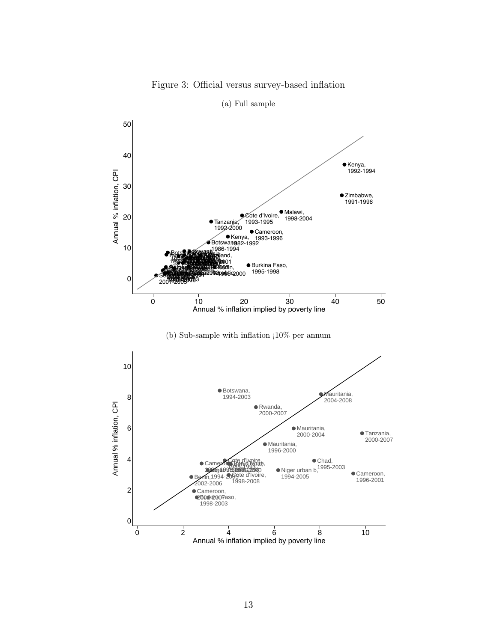Figure 3: Official versus survey-based inflation



(a) Full sample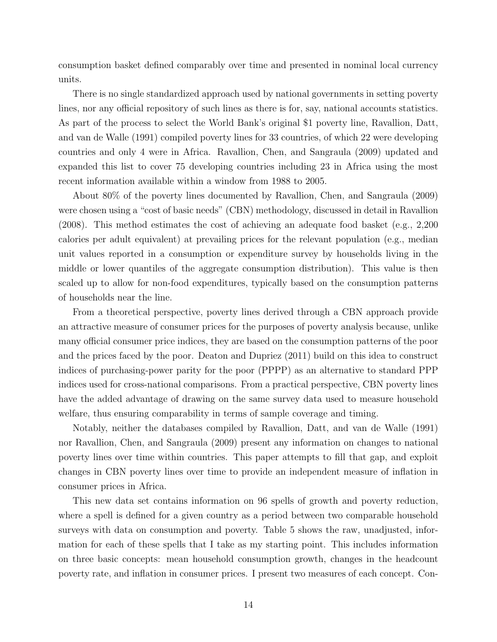consumption basket defined comparably over time and presented in nominal local currency units.

There is no single standardized approach used by national governments in setting poverty lines, nor any official repository of such lines as there is for, say, national accounts statistics. As part of the process to select the World Bank's original \$1 poverty line, Ravallion, Datt, and van de Walle (1991) compiled poverty lines for 33 countries, of which 22 were developing countries and only 4 were in Africa. Ravallion, Chen, and Sangraula (2009) updated and expanded this list to cover 75 developing countries including 23 in Africa using the most recent information available within a window from 1988 to 2005.

About 80% of the poverty lines documented by Ravallion, Chen, and Sangraula (2009) were chosen using a "cost of basic needs" (CBN) methodology, discussed in detail in Ravallion (2008). This method estimates the cost of achieving an adequate food basket (e.g., 2,200 calories per adult equivalent) at prevailing prices for the relevant population (e.g., median unit values reported in a consumption or expenditure survey by households living in the middle or lower quantiles of the aggregate consumption distribution). This value is then scaled up to allow for non-food expenditures, typically based on the consumption patterns of households near the line.

From a theoretical perspective, poverty lines derived through a CBN approach provide an attractive measure of consumer prices for the purposes of poverty analysis because, unlike many official consumer price indices, they are based on the consumption patterns of the poor and the prices faced by the poor. Deaton and Dupriez (2011) build on this idea to construct indices of purchasing-power parity for the poor (PPPP) as an alternative to standard PPP indices used for cross-national comparisons. From a practical perspective, CBN poverty lines have the added advantage of drawing on the same survey data used to measure household welfare, thus ensuring comparability in terms of sample coverage and timing.

Notably, neither the databases compiled by Ravallion, Datt, and van de Walle (1991) nor Ravallion, Chen, and Sangraula (2009) present any information on changes to national poverty lines over time within countries. This paper attempts to fill that gap, and exploit changes in CBN poverty lines over time to provide an independent measure of inflation in consumer prices in Africa.

This new data set contains information on 96 spells of growth and poverty reduction, where a spell is defined for a given country as a period between two comparable household surveys with data on consumption and poverty. Table 5 shows the raw, unadjusted, information for each of these spells that I take as my starting point. This includes information on three basic concepts: mean household consumption growth, changes in the headcount poverty rate, and inflation in consumer prices. I present two measures of each concept. Con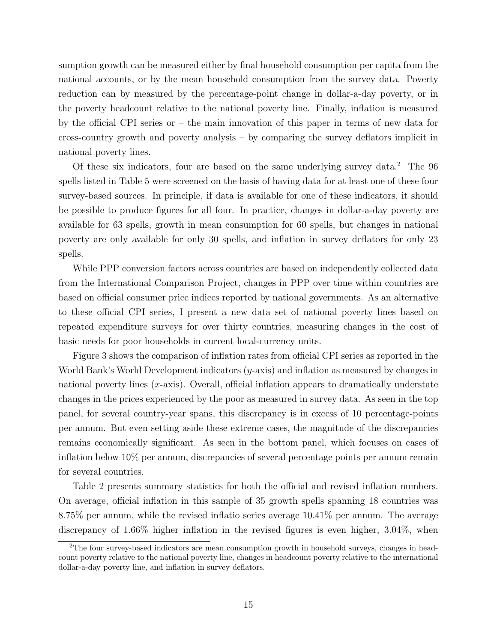sumption growth can be measured either by final household consumption per capita from the national accounts, or by the mean household consumption from the survey data. Poverty reduction can by measured by the percentage-point change in dollar-a-day poverty, or in the poverty headcount relative to the national poverty line. Finally, inflation is measured by the official CPI series or – the main innovation of this paper in terms of new data for cross-country growth and poverty analysis – by comparing the survey deflators implicit in national poverty lines.

Of these six indicators, four are based on the same underlying survey data.<sup>2</sup> The 96 spells listed in Table 5 were screened on the basis of having data for at least one of these four survey-based sources. In principle, if data is available for one of these indicators, it should be possible to produce figures for all four. In practice, changes in dollar-a-day poverty are available for 63 spells, growth in mean consumption for 60 spells, but changes in national poverty are only available for only 30 spells, and inflation in survey deflators for only 23 spells.

While PPP conversion factors across countries are based on independently collected data from the International Comparison Project, changes in PPP over time within countries are based on official consumer price indices reported by national governments. As an alternative to these official CPI series, I present a new data set of national poverty lines based on repeated expenditure surveys for over thirty countries, measuring changes in the cost of basic needs for poor households in current local-currency units.

Figure 3 shows the comparison of inflation rates from official CPI series as reported in the World Bank's World Development indicators (y-axis) and inflation as measured by changes in national poverty lines  $(x\text{-axis})$ . Overall, official inflation appears to dramatically understate changes in the prices experienced by the poor as measured in survey data. As seen in the top panel, for several country-year spans, this discrepancy is in excess of 10 percentage-points per annum. But even setting aside these extreme cases, the magnitude of the discrepancies remains economically significant. As seen in the bottom panel, which focuses on cases of inflation below 10% per annum, discrepancies of several percentage points per annum remain for several countries.

Table 2 presents summary statistics for both the official and revised inflation numbers. On average, official inflation in this sample of 35 growth spells spanning 18 countries was 8.75% per annum, while the revised inflatio series average 10.41% per annum. The average discrepancy of 1.66% higher inflation in the revised figures is even higher, 3.04%, when

<sup>2</sup>The four survey-based indicators are mean consumption growth in household surveys, changes in headcount poverty relative to the national poverty line, changes in headcount poverty relative to the international dollar-a-day poverty line, and inflation in survey deflators.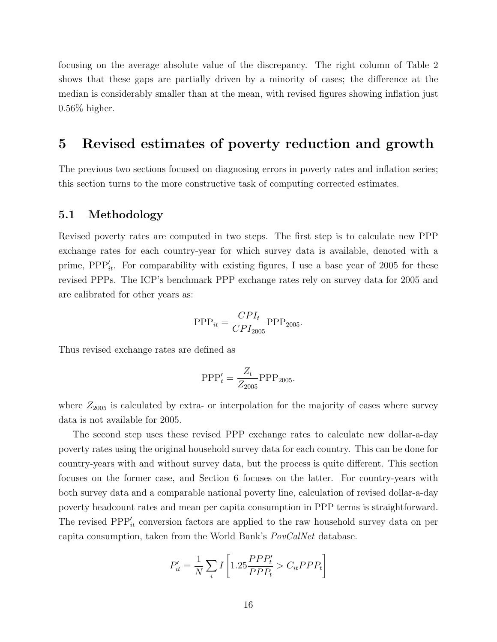focusing on the average absolute value of the discrepancy. The right column of Table 2 shows that these gaps are partially driven by a minority of cases; the difference at the median is considerably smaller than at the mean, with revised figures showing inflation just 0.56% higher.

### 5 Revised estimates of poverty reduction and growth

The previous two sections focused on diagnosing errors in poverty rates and inflation series; this section turns to the more constructive task of computing corrected estimates.

### 5.1 Methodology

Revised poverty rates are computed in two steps. The first step is to calculate new PPP exchange rates for each country-year for which survey data is available, denoted with a prime,  $PPP'_{it}$ . For comparability with existing figures, I use a base year of 2005 for these revised PPPs. The ICP's benchmark PPP exchange rates rely on survey data for 2005 and are calibrated for other years as:

$$
\text{PPP}_{it} = \frac{CPI_t}{CPI_{2005}} \text{PPP}_{2005}.
$$

Thus revised exchange rates are defined as

$$
PPP'_t = \frac{Z_t}{Z_{2005}} PPP_{2005}.
$$

where  $Z_{2005}$  is calculated by extra- or interpolation for the majority of cases where survey data is not available for 2005.

The second step uses these revised PPP exchange rates to calculate new dollar-a-day poverty rates using the original household survey data for each country. This can be done for country-years with and without survey data, but the process is quite different. This section focuses on the former case, and Section 6 focuses on the latter. For country-years with both survey data and a comparable national poverty line, calculation of revised dollar-a-day poverty headcount rates and mean per capita consumption in PPP terms is straightforward. The revised  $PPP'_{it}$  conversion factors are applied to the raw household survey data on per capita consumption, taken from the World Bank's PovCalNet database.

$$
P'_{it} = \frac{1}{N} \sum_{i} I \left[ 1.25 \frac{PPP'_t}{PPP_t} > C_{it} PPP_t \right]
$$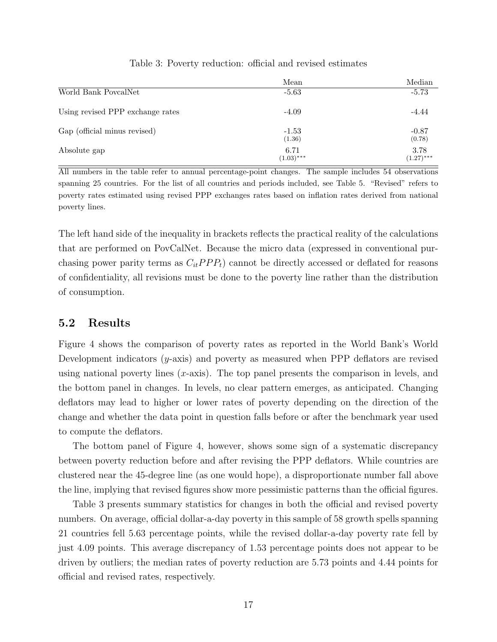|                                  | Mean                 | Median               |
|----------------------------------|----------------------|----------------------|
| World Bank PovcalNet             | $-5.63$              | $-5.73$              |
| Using revised PPP exchange rates | $-4.09$              | $-4.44$              |
| Gap (official minus revised)     | $-1.53$<br>(1.36)    | $-0.87$<br>(0.78)    |
| Absolute gap                     | 6.71<br>$(1.03)$ *** | 3.78<br>$(1.27)$ *** |

#### Table 3: Poverty reduction: official and revised estimates

All numbers in the table refer to annual percentage-point changes. The sample includes 54 observations spanning 25 countries. For the list of all countries and periods included, see Table 5. "Revised" refers to poverty rates estimated using revised PPP exchanges rates based on inflation rates derived from national poverty lines.

The left hand side of the inequality in brackets reflects the practical reality of the calculations that are performed on PovCalNet. Because the micro data (expressed in conventional purchasing power parity terms as  $C_{it} PPP_t$  cannot be directly accessed or deflated for reasons of confidentiality, all revisions must be done to the poverty line rather than the distribution of consumption.

### 5.2 Results

Figure 4 shows the comparison of poverty rates as reported in the World Bank's World Development indicators (y-axis) and poverty as measured when PPP deflators are revised using national poverty lines  $(x\text{-axis})$ . The top panel presents the comparison in levels, and the bottom panel in changes. In levels, no clear pattern emerges, as anticipated. Changing deflators may lead to higher or lower rates of poverty depending on the direction of the change and whether the data point in question falls before or after the benchmark year used to compute the deflators.

The bottom panel of Figure 4, however, shows some sign of a systematic discrepancy between poverty reduction before and after revising the PPP deflators. While countries are clustered near the 45-degree line (as one would hope), a disproportionate number fall above the line, implying that revised figures show more pessimistic patterns than the official figures.

Table 3 presents summary statistics for changes in both the official and revised poverty numbers. On average, official dollar-a-day poverty in this sample of 58 growth spells spanning 21 countries fell 5.63 percentage points, while the revised dollar-a-day poverty rate fell by just 4.09 points. This average discrepancy of 1.53 percentage points does not appear to be driven by outliers; the median rates of poverty reduction are 5.73 points and 4.44 points for official and revised rates, respectively.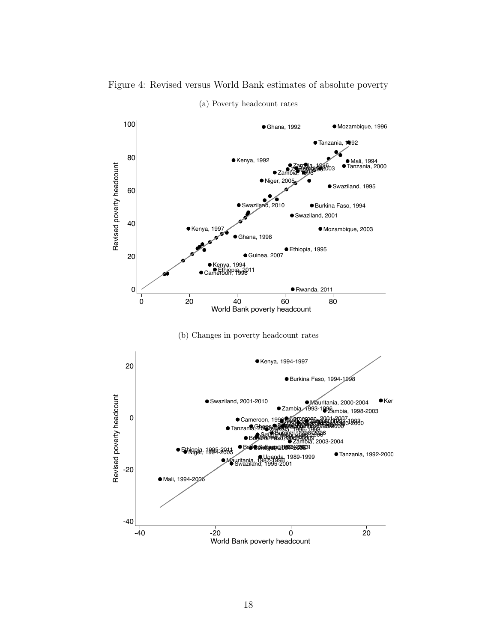

Figure 4: Revised versus World Bank estimates of absolute poverty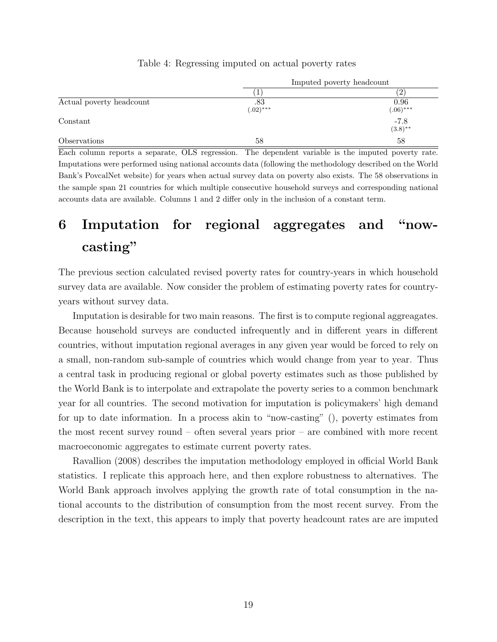|                          |                    | Imputed poverty headcount |
|--------------------------|--------------------|---------------------------|
|                          |                    | $2^{\circ}$               |
| Actual poverty headcount | .83<br>$(.02)$ *** | 0.96<br>$(.06)$ ***       |
| Constant                 |                    | $-7.8$<br>$(3.8)$ **      |
| Observations             | 58                 | 58                        |

#### Table 4: Regressing imputed on actual poverty rates

Each column reports a separate, OLS regression. The dependent variable is the imputed poverty rate. Imputations were performed using national accounts data (following the methodology described on the World Bank's PovcalNet website) for years when actual survey data on poverty also exists. The 58 observations in the sample span 21 countries for which multiple consecutive household surveys and corresponding national accounts data are available. Columns 1 and 2 differ only in the inclusion of a constant term.

## 6 Imputation for regional aggregates and "nowcasting"

The previous section calculated revised poverty rates for country-years in which household survey data are available. Now consider the problem of estimating poverty rates for countryyears without survey data.

Imputation is desirable for two main reasons. The first is to compute regional aggreagates. Because household surveys are conducted infrequently and in different years in different countries, without imputation regional averages in any given year would be forced to rely on a small, non-random sub-sample of countries which would change from year to year. Thus a central task in producing regional or global poverty estimates such as those published by the World Bank is to interpolate and extrapolate the poverty series to a common benchmark year for all countries. The second motivation for imputation is policymakers' high demand for up to date information. In a process akin to "now-casting" (), poverty estimates from the most recent survey round – often several years prior – are combined with more recent macroeconomic aggregates to estimate current poverty rates.

Ravallion (2008) describes the imputation methodology employed in official World Bank statistics. I replicate this approach here, and then explore robustness to alternatives. The World Bank approach involves applying the growth rate of total consumption in the national accounts to the distribution of consumption from the most recent survey. From the description in the text, this appears to imply that poverty headcount rates are are imputed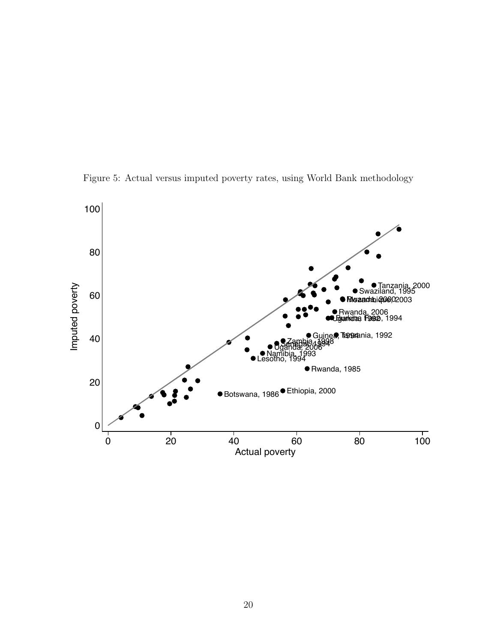Figure 5: Actual versus imputed poverty rates, using World Bank methodology

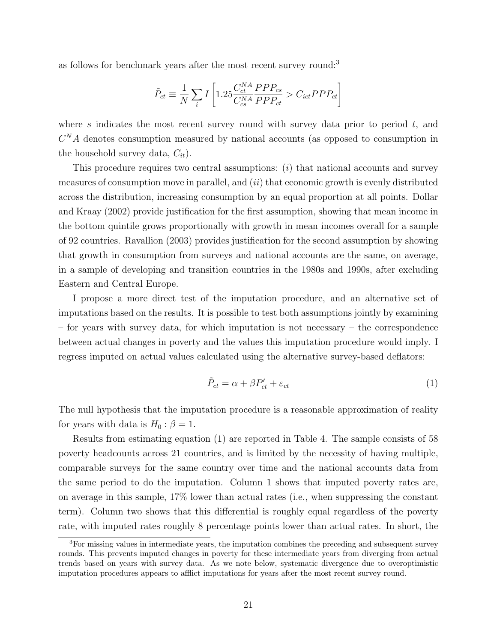as follows for benchmark years after the most recent survey round:<sup>3</sup>

$$
\tilde{P}_{ct} \equiv \frac{1}{N} \sum_{i} I \left[ 1.25 \frac{C_{ct}^{NA} PPP_{cs}}{C_{cs}^{NA} PPP_{ct}} > C_{ict} PPP_{ct} \right]
$$

where s indicates the most recent survey round with survey data prior to period  $t$ , and  $C<sup>N</sup>A$  denotes consumption measured by national accounts (as opposed to consumption in the household survey data,  $C_{it}$ ).

This procedure requires two central assumptions:  $(i)$  that national accounts and survey measures of consumption move in parallel, and  $(ii)$  that economic growth is evenly distributed across the distribution, increasing consumption by an equal proportion at all points. Dollar and Kraay (2002) provide justification for the first assumption, showing that mean income in the bottom quintile grows proportionally with growth in mean incomes overall for a sample of 92 countries. Ravallion (2003) provides justification for the second assumption by showing that growth in consumption from surveys and national accounts are the same, on average, in a sample of developing and transition countries in the 1980s and 1990s, after excluding Eastern and Central Europe.

I propose a more direct test of the imputation procedure, and an alternative set of imputations based on the results. It is possible to test both assumptions jointly by examining – for years with survey data, for which imputation is not necessary – the correspondence between actual changes in poverty and the values this imputation procedure would imply. I regress imputed on actual values calculated using the alternative survey-based deflators:

$$
\tilde{P}_{ct} = \alpha + \beta P_{ct}' + \varepsilon_{ct} \tag{1}
$$

The null hypothesis that the imputation procedure is a reasonable approximation of reality for years with data is  $H_0$ :  $\beta = 1$ .

Results from estimating equation (1) are reported in Table 4. The sample consists of 58 poverty headcounts across 21 countries, and is limited by the necessity of having multiple, comparable surveys for the same country over time and the national accounts data from the same period to do the imputation. Column 1 shows that imputed poverty rates are, on average in this sample, 17% lower than actual rates (i.e., when suppressing the constant term). Column two shows that this differential is roughly equal regardless of the poverty rate, with imputed rates roughly 8 percentage points lower than actual rates. In short, the

<sup>&</sup>lt;sup>3</sup>For missing values in intermediate years, the imputation combines the preceding and subsequent survey rounds. This prevents imputed changes in poverty for these intermediate years from diverging from actual trends based on years with survey data. As we note below, systematic divergence due to overoptimistic imputation procedures appears to afflict imputations for years after the most recent survey round.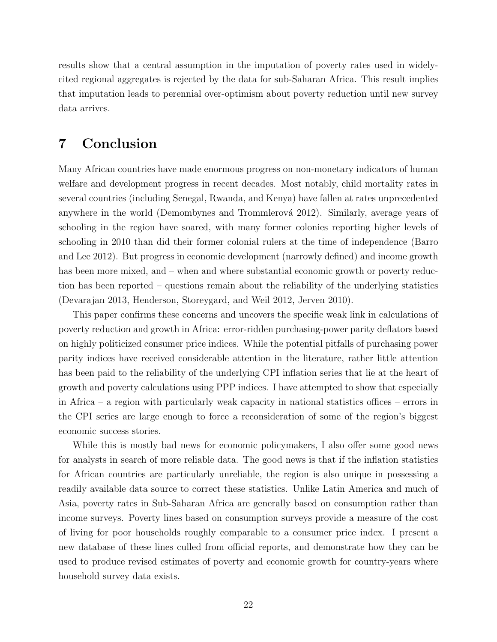results show that a central assumption in the imputation of poverty rates used in widelycited regional aggregates is rejected by the data for sub-Saharan Africa. This result implies that imputation leads to perennial over-optimism about poverty reduction until new survey data arrives.

## 7 Conclusion

Many African countries have made enormous progress on non-monetary indicators of human welfare and development progress in recent decades. Most notably, child mortality rates in several countries (including Senegal, Rwanda, and Kenya) have fallen at rates unprecedented anywhere in the world (Demombynes and Trommlerová 2012). Similarly, average years of schooling in the region have soared, with many former colonies reporting higher levels of schooling in 2010 than did their former colonial rulers at the time of independence (Barro and Lee 2012). But progress in economic development (narrowly defined) and income growth has been more mixed, and – when and where substantial economic growth or poverty reduction has been reported – questions remain about the reliability of the underlying statistics (Devarajan 2013, Henderson, Storeygard, and Weil 2012, Jerven 2010).

This paper confirms these concerns and uncovers the specific weak link in calculations of poverty reduction and growth in Africa: error-ridden purchasing-power parity deflators based on highly politicized consumer price indices. While the potential pitfalls of purchasing power parity indices have received considerable attention in the literature, rather little attention has been paid to the reliability of the underlying CPI inflation series that lie at the heart of growth and poverty calculations using PPP indices. I have attempted to show that especially in Africa – a region with particularly weak capacity in national statistics offices – errors in the CPI series are large enough to force a reconsideration of some of the region's biggest economic success stories.

While this is mostly bad news for economic policymakers, I also offer some good news for analysts in search of more reliable data. The good news is that if the inflation statistics for African countries are particularly unreliable, the region is also unique in possessing a readily available data source to correct these statistics. Unlike Latin America and much of Asia, poverty rates in Sub-Saharan Africa are generally based on consumption rather than income surveys. Poverty lines based on consumption surveys provide a measure of the cost of living for poor households roughly comparable to a consumer price index. I present a new database of these lines culled from official reports, and demonstrate how they can be used to produce revised estimates of poverty and economic growth for country-years where household survey data exists.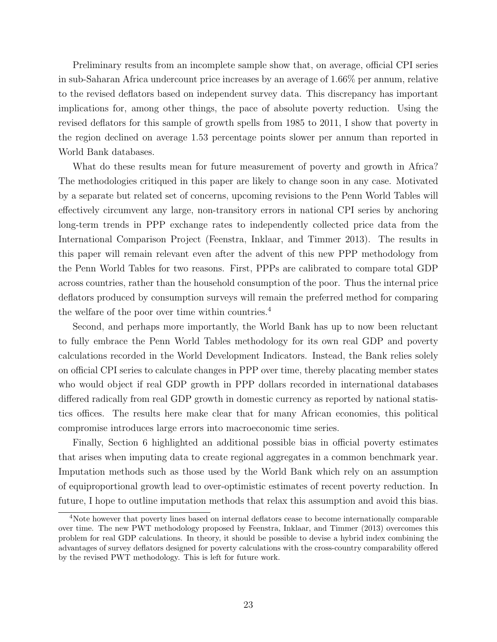Preliminary results from an incomplete sample show that, on average, official CPI series in sub-Saharan Africa undercount price increases by an average of 1.66% per annum, relative to the revised deflators based on independent survey data. This discrepancy has important implications for, among other things, the pace of absolute poverty reduction. Using the revised deflators for this sample of growth spells from 1985 to 2011, I show that poverty in the region declined on average 1.53 percentage points slower per annum than reported in World Bank databases.

What do these results mean for future measurement of poverty and growth in Africa? The methodologies critiqued in this paper are likely to change soon in any case. Motivated by a separate but related set of concerns, upcoming revisions to the Penn World Tables will effectively circumvent any large, non-transitory errors in national CPI series by anchoring long-term trends in PPP exchange rates to independently collected price data from the International Comparison Project (Feenstra, Inklaar, and Timmer 2013). The results in this paper will remain relevant even after the advent of this new PPP methodology from the Penn World Tables for two reasons. First, PPPs are calibrated to compare total GDP across countries, rather than the household consumption of the poor. Thus the internal price deflators produced by consumption surveys will remain the preferred method for comparing the welfare of the poor over time within countries.<sup>4</sup>

Second, and perhaps more importantly, the World Bank has up to now been reluctant to fully embrace the Penn World Tables methodology for its own real GDP and poverty calculations recorded in the World Development Indicators. Instead, the Bank relies solely on official CPI series to calculate changes in PPP over time, thereby placating member states who would object if real GDP growth in PPP dollars recorded in international databases differed radically from real GDP growth in domestic currency as reported by national statistics offices. The results here make clear that for many African economies, this political compromise introduces large errors into macroeconomic time series.

Finally, Section 6 highlighted an additional possible bias in official poverty estimates that arises when imputing data to create regional aggregates in a common benchmark year. Imputation methods such as those used by the World Bank which rely on an assumption of equiproportional growth lead to over-optimistic estimates of recent poverty reduction. In future, I hope to outline imputation methods that relax this assumption and avoid this bias.

<sup>4</sup>Note however that poverty lines based on internal deflators cease to become internationally comparable over time. The new PWT methodology proposed by Feenstra, Inklaar, and Timmer (2013) overcomes this problem for real GDP calculations. In theory, it should be possible to devise a hybrid index combining the advantages of survey deflators designed for poverty calculations with the cross-country comparability offered by the revised PWT methodology. This is left for future work.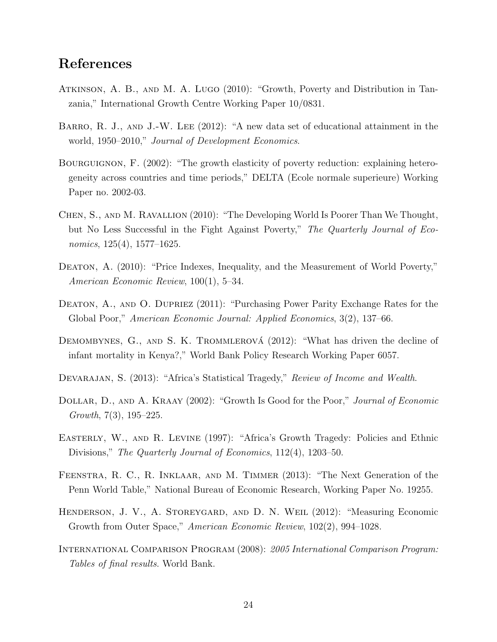## References

- Atkinson, A. B., and M. A. Lugo (2010): "Growth, Poverty and Distribution in Tanzania," International Growth Centre Working Paper 10/0831.
- BARRO, R. J., AND J.-W. LEE (2012): "A new data set of educational attainment in the world, 1950–2010," Journal of Development Economics.
- Bourguignon, F. (2002): "The growth elasticity of poverty reduction: explaining heterogeneity across countries and time periods," DELTA (Ecole normale superieure) Working Paper no. 2002-03.
- Chen, S., and M. Ravallion (2010): "The Developing World Is Poorer Than We Thought, but No Less Successful in the Fight Against Poverty," The Quarterly Journal of Economics, 125(4), 1577–1625.
- DEATON, A. (2010): "Price Indexes, Inequality, and the Measurement of World Poverty," American Economic Review, 100(1), 5–34.
- DEATON, A., AND O. DUPRIEZ (2011): "Purchasing Power Parity Exchange Rates for the Global Poor," American Economic Journal: Applied Economics, 3(2), 137–66.
- DEMOMBYNES, G., AND S. K. TROMMLEROVA  $(2012)$ : "What has driven the decline of infant mortality in Kenya?," World Bank Policy Research Working Paper 6057.
- DEVARAJAN, S. (2013): "Africa's Statistical Tragedy," Review of Income and Wealth.
- DOLLAR, D., AND A. KRAAY (2002): "Growth Is Good for the Poor," Journal of Economic Growth, 7(3), 195–225.
- Easterly, W., and R. Levine (1997): "Africa's Growth Tragedy: Policies and Ethnic Divisions," The Quarterly Journal of Economics, 112(4), 1203–50.
- Feenstra, R. C., R. Inklaar, and M. Timmer (2013): "The Next Generation of the Penn World Table," National Bureau of Economic Research, Working Paper No. 19255.
- HENDERSON, J. V., A. STOREYGARD, AND D. N. WEIL (2012): "Measuring Economic Growth from Outer Space," American Economic Review, 102(2), 994–1028.
- International Comparison Program (2008): 2005 International Comparison Program: Tables of final results. World Bank.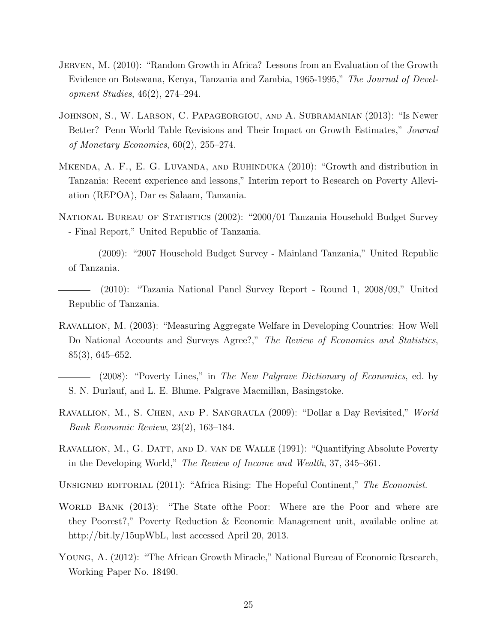- Jerven, M. (2010): "Random Growth in Africa? Lessons from an Evaluation of the Growth Evidence on Botswana, Kenya, Tanzania and Zambia, 1965-1995," The Journal of Development Studies, 46(2), 274–294.
- Johnson, S., W. Larson, C. Papageorgiou, and A. Subramanian (2013): "Is Newer Better? Penn World Table Revisions and Their Impact on Growth Estimates," Journal of Monetary Economics, 60(2), 255–274.
- MKENDA, A. F., E. G. LUVANDA, AND RUHINDUKA (2010): "Growth and distribution in Tanzania: Recent experience and lessons," Interim report to Research on Poverty Alleviation (REPOA), Dar es Salaam, Tanzania.
- National Bureau of Statistics (2002): "2000/01 Tanzania Household Budget Survey - Final Report," United Republic of Tanzania.
- (2009): "2007 Household Budget Survey Mainland Tanzania," United Republic of Tanzania.
- (2010): "Tazania National Panel Survey Report Round 1, 2008/09," United Republic of Tanzania.
- Ravallion, M. (2003): "Measuring Aggregate Welfare in Developing Countries: How Well Do National Accounts and Surveys Agree?," The Review of Economics and Statistics, 85(3), 645–652.
- (2008): "Poverty Lines," in The New Palgrave Dictionary of Economics, ed. by S. N. Durlauf, and L. E. Blume. Palgrave Macmillan, Basingstoke.
- Ravallion, M., S. Chen, and P. Sangraula (2009): "Dollar a Day Revisited," World Bank Economic Review, 23(2), 163–184.
- RAVALLION, M., G. DATT, AND D. VAN DE WALLE (1991): "Quantifying Absolute Poverty in the Developing World," The Review of Income and Wealth, 37, 345–361.
- UNSIGNED EDITORIAL (2011): "Africa Rising: The Hopeful Continent," The Economist.
- WORLD BANK (2013): "The State of the Poor: Where are the Poor and where are they Poorest?," Poverty Reduction & Economic Management unit, available online at http://bit.ly/15upWbL, last accessed April 20, 2013.
- Young, A. (2012): "The African Growth Miracle," National Bureau of Economic Research, Working Paper No. 18490.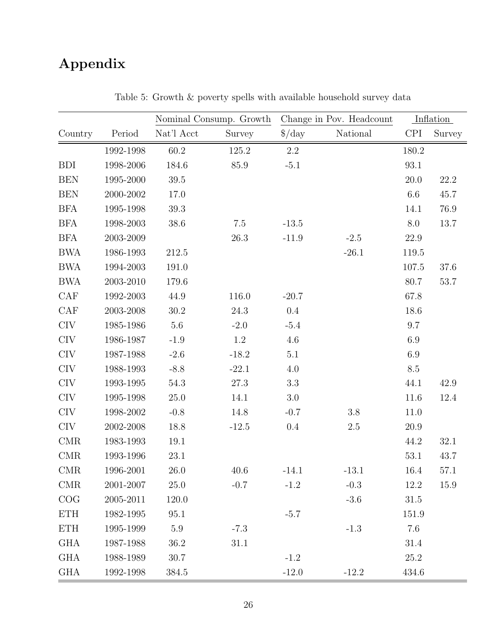# Appendix

|            |           |            | Nominal Consump. Growth |                    | Change in Pov. Headcount |          | Inflation |
|------------|-----------|------------|-------------------------|--------------------|--------------------------|----------|-----------|
| Country    | Period    | Nat'l Acct | Survey                  | $\frac{\log x}{1}$ | National                 | CPI      | Survey    |
|            | 1992-1998 | 60.2       | 125.2                   | 2.2                |                          | 180.2    |           |
| <b>BDI</b> | 1998-2006 | 184.6      | 85.9                    | $-5.1$             |                          | 93.1     |           |
| <b>BEN</b> | 1995-2000 | 39.5       |                         |                    |                          | 20.0     | 22.2      |
| <b>BEN</b> | 2000-2002 | 17.0       |                         |                    |                          | $6.6\,$  | 45.7      |
| <b>BFA</b> | 1995-1998 | $39.3\,$   |                         |                    |                          | 14.1     | 76.9      |
| <b>BFA</b> | 1998-2003 | $38.6\,$   | 7.5                     | $-13.5$            |                          | 8.0      | 13.7      |
| <b>BFA</b> | 2003-2009 |            | 26.3                    | $-11.9$            | $-2.5$                   | 22.9     |           |
| <b>BWA</b> | 1986-1993 | 212.5      |                         |                    | $-26.1$                  | 119.5    |           |
| <b>BWA</b> | 1994-2003 | 191.0      |                         |                    |                          | 107.5    | 37.6      |
| <b>BWA</b> | 2003-2010 | 179.6      |                         |                    |                          | 80.7     | 53.7      |
| CAF        | 1992-2003 | 44.9       | 116.0                   | $-20.7$            |                          | 67.8     |           |
| CAF        | 2003-2008 | 30.2       | 24.3                    | $0.4\,$            |                          | 18.6     |           |
| CIV        | 1985-1986 | $5.6\,$    | $-2.0$                  | $-5.4$             |                          | 9.7      |           |
| CIV        | 1986-1987 | $-1.9$     | 1.2                     | 4.6                |                          | 6.9      |           |
| CIV        | 1987-1988 | $-2.6$     | $-18.2$                 | 5.1                |                          | 6.9      |           |
| CIV        | 1988-1993 | $-8.8$     | $-22.1$                 | 4.0                |                          | 8.5      |           |
| CIV        | 1993-1995 | $54.3\,$   | 27.3                    | $3.3\,$            |                          | 44.1     | 42.9      |
| CIV        | 1995-1998 | 25.0       | 14.1                    | $3.0\,$            |                          | 11.6     | 12.4      |
| CIV        | 1998-2002 | $-0.8$     | 14.8                    | $-0.7$             | 3.8                      | 11.0     |           |
| CIV        | 2002-2008 | 18.8       | $-12.5$                 | 0.4                | $2.5\,$                  | 20.9     |           |
| CMR        | 1983-1993 | 19.1       |                         |                    |                          | 44.2     | 32.1      |
| <b>CMR</b> | 1993-1996 | 23.1       |                         |                    |                          | 53.1     | 43.7      |
| CMR        | 1996-2001 | 26.0       | 40.6                    | $-14.1$            | $-13.1$                  | 16.4     | $57.1\,$  |
| <b>CMR</b> | 2001-2007 | 25.0       | $-0.7$                  | $-1.2$             | $-0.3$                   | 12.2     | 15.9      |
| COG        | 2005-2011 | 120.0      |                         |                    | $-3.6$                   | 31.5     |           |
| <b>ETH</b> | 1982-1995 | 95.1       |                         | $-5.7$             |                          | 151.9    |           |
| <b>ETH</b> | 1995-1999 | $5.9\,$    | $-7.3$                  |                    | $-1.3$                   | 7.6      |           |
| <b>GHA</b> | 1987-1988 | 36.2       | 31.1                    |                    |                          | $31.4\,$ |           |
| <b>GHA</b> | 1988-1989 | $30.7\,$   |                         | $-1.2$             |                          | 25.2     |           |
| <b>GHA</b> | 1992-1998 | 384.5      |                         | $-12.0$            | $-12.2$                  | 434.6    |           |

Table 5: Growth  $\&$  poverty spells with available household survey data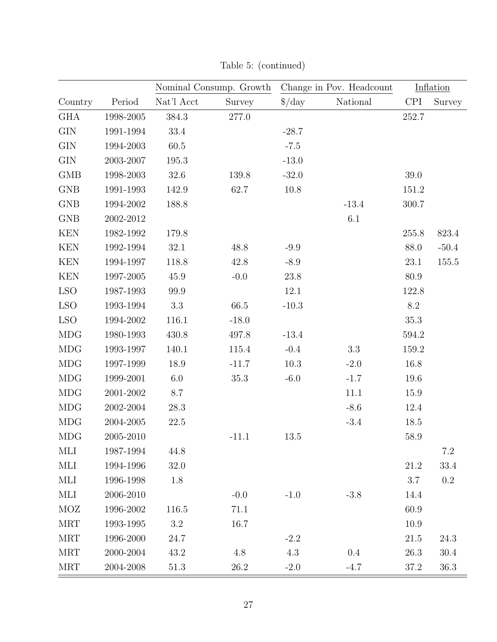|            |           |            | Nominal Consump. Growth |                    | Change in Pov. Headcount |            | Inflation |
|------------|-----------|------------|-------------------------|--------------------|--------------------------|------------|-----------|
| Country    | Period    | Nat'l Acct | Survey                  | $\frac{\log x}{1}$ | National                 | <b>CPI</b> | Survey    |
| <b>GHA</b> | 1998-2005 | 384.3      | 277.0                   |                    |                          | 252.7      |           |
| $\rm GIN$  | 1991-1994 | $33.4\,$   |                         | $-28.7$            |                          |            |           |
| <b>GIN</b> | 1994-2003 | 60.5       |                         | $-7.5$             |                          |            |           |
| <b>GIN</b> | 2003-2007 | 195.3      |                         | $-13.0$            |                          |            |           |
| $\rm{GMB}$ | 1998-2003 | $32.6\,$   | 139.8                   | $-32.0$            |                          | $39.0\,$   |           |
| $\rm{GNB}$ | 1991-1993 | 142.9      | 62.7                    | 10.8               |                          | $151.2\,$  |           |
| GNB        | 1994-2002 | 188.8      |                         |                    | $-13.4$                  | 300.7      |           |
| <b>GNB</b> | 2002-2012 |            |                         |                    | $6.1\,$                  |            |           |
| <b>KEN</b> | 1982-1992 | 179.8      |                         |                    |                          | 255.8      | 823.4     |
| <b>KEN</b> | 1992-1994 | 32.1       | 48.8                    | $-9.9$             |                          | 88.0       | $-50.4$   |
| <b>KEN</b> | 1994-1997 | 118.8      | 42.8                    | $-8.9$             |                          | 23.1       | 155.5     |
| <b>KEN</b> | 1997-2005 | $45.9\,$   | $-0.0$                  | $23.8\,$           |                          | 80.9       |           |
| <b>LSO</b> | 1987-1993 | 99.9       |                         | 12.1               |                          | 122.8      |           |
| <b>LSO</b> | 1993-1994 | $3.3\,$    | 66.5                    | $-10.3$            |                          | $8.2\,$    |           |
| <b>LSO</b> | 1994-2002 | 116.1      | $-18.0$                 |                    |                          | $35.3\,$   |           |
| $\rm MDG$  | 1980-1993 | 430.8      | 497.8                   | $-13.4$            |                          | 594.2      |           |
| $\rm MDG$  | 1993-1997 | 140.1      | 115.4                   | $-0.4$             | 3.3                      | 159.2      |           |
| <b>MDG</b> | 1997-1999 | 18.9       | $-11.7$                 | 10.3               | $-2.0$                   | 16.8       |           |
| <b>MDG</b> | 1999-2001 | $6.0\,$    | 35.3                    | $-6.0$             | $-1.7$                   | 19.6       |           |
| <b>MDG</b> | 2001-2002 | 8.7        |                         |                    | 11.1                     | 15.9       |           |
| <b>MDG</b> | 2002-2004 | 28.3       |                         |                    | $-8.6$                   | 12.4       |           |
| <b>MDG</b> | 2004-2005 | 22.5       |                         |                    | $-3.4$                   | 18.5       |           |
| <b>MDG</b> | 2005-2010 |            | $-11.1$                 | 13.5               |                          | 58.9       |           |
| MLI        | 1987-1994 | 44.8       |                         |                    |                          |            | $7.2\,$   |
| MLI        | 1994-1996 | 32.0       |                         |                    |                          | 21.2       | 33.4      |
| MLI        | 1996-1998 | 1.8        |                         |                    |                          | 3.7        | 0.2       |
| MLI        | 2006-2010 |            | $-0.0$                  | $-1.0$             | $-3.8$                   | 14.4       |           |
| <b>MOZ</b> | 1996-2002 | 116.5      | 71.1                    |                    |                          | 60.9       |           |
| <b>MRT</b> | 1993-1995 | $3.2\,$    | 16.7                    |                    |                          | $10.9\,$   |           |
| <b>MRT</b> | 1996-2000 | 24.7       |                         | $-2.2$             |                          | 21.5       | 24.3      |
| <b>MRT</b> | 2000-2004 | 43.2       | 4.8                     | 4.3                | $0.4\,$                  | 26.3       | 30.4      |
| <b>MRT</b> | 2004-2008 | 51.3       | $26.2\,$                | $-2.0$             | $-4.7$                   | 37.2       | 36.3      |

Table 5: (continued)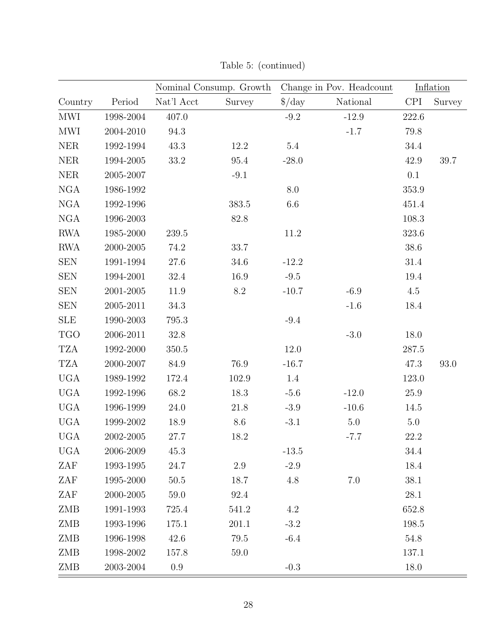|                      |               |            |         |                    | Nominal Consump. Growth Change in Pov. Headcount |            | Inflation |
|----------------------|---------------|------------|---------|--------------------|--------------------------------------------------|------------|-----------|
| Country              | Period        | Nat'l Acct | Survey  | $\frac{\log x}{1}$ | National                                         | <b>CPI</b> | Survey    |
| <b>MWI</b>           | 1998-2004     | 407.0      |         | $-9.2$             | $-12.9$                                          | 222.6      |           |
| $\operatorname{MWI}$ | 2004-2010     | 94.3       |         |                    | $-1.7$                                           | 79.8       |           |
| <b>NER</b>           | 1992-1994     | 43.3       | 12.2    | $5.4\,$            |                                                  | 34.4       |           |
| <b>NER</b>           | 1994-2005     | 33.2       | 95.4    | $-28.0$            |                                                  | 42.9       | 39.7      |
| $\operatorname{NER}$ | $2005 - 2007$ |            | $-9.1$  |                    |                                                  | $0.1\,$    |           |
| ${\rm NGA}$          | 1986-1992     |            |         | 8.0                |                                                  | 353.9      |           |
| ${\rm NGA}$          | 1992-1996     |            | 383.5   | $6.6\,$            |                                                  | $451.4\,$  |           |
| ${\rm NGA}$          | 1996-2003     |            | 82.8    |                    |                                                  | 108.3      |           |
| <b>RWA</b>           | 1985-2000     | 239.5      |         | 11.2               |                                                  | 323.6      |           |
| <b>RWA</b>           | 2000-2005     | 74.2       | 33.7    |                    |                                                  | $38.6\,$   |           |
| <b>SEN</b>           | 1991-1994     | 27.6       | 34.6    | $-12.2$            |                                                  | 31.4       |           |
| <b>SEN</b>           | 1994-2001     | 32.4       | 16.9    | $-9.5$             |                                                  | 19.4       |           |
| <b>SEN</b>           | 2001-2005     | 11.9       | 8.2     | $-10.7$            | $-6.9$                                           | 4.5        |           |
| <b>SEN</b>           | 2005-2011     | 34.3       |         |                    | $-1.6$                                           | 18.4       |           |
| <b>SLE</b>           | 1990-2003     | 795.3      |         | $-9.4$             |                                                  |            |           |
| <b>TGO</b>           | 2006-2011     | $32.8\,$   |         |                    | $-3.0$                                           | 18.0       |           |
| TZA                  | 1992-2000     | $350.5\,$  |         | 12.0               |                                                  | 287.5      |           |
| <b>TZA</b>           | 2000-2007     | 84.9       | 76.9    | $-16.7$            |                                                  | 47.3       | 93.0      |
| <b>UGA</b>           | 1989-1992     | 172.4      | 102.9   | 1.4                |                                                  | 123.0      |           |
| <b>UGA</b>           | 1992-1996     | 68.2       | 18.3    | $-5.6$             | $-12.0$                                          | 25.9       |           |
| <b>UGA</b>           | 1996-1999     | 24.0       | 21.8    | $-3.9$             | $-10.6$                                          | 14.5       |           |
| <b>UGA</b>           | 1999-2002     | 18.9       | $8.6\,$ | $-3.1$             | $5.0\,$                                          | $5.0\,$    |           |
| <b>UGA</b>           | 2002-2005     | 27.7       | 18.2    |                    | $-7.7$                                           | 22.2       |           |
| <b>UGA</b>           | 2006-2009     | 45.3       |         | $-13.5$            |                                                  | 34.4       |           |
| ZAF                  | 1993-1995     | 24.7       | 2.9     | $-2.9$             |                                                  | 18.4       |           |
| ZAF                  | 1995-2000     | 50.5       | 18.7    | 4.8                | $7.0\,$                                          | 38.1       |           |
| ZAF                  | 2000-2005     | 59.0       | 92.4    |                    |                                                  | 28.1       |           |
| ZMB                  | 1991-1993     | 725.4      | 541.2   | 4.2                |                                                  | 652.8      |           |
| ZMB                  | 1993-1996     | 175.1      | 201.1   | $-3.2$             |                                                  | 198.5      |           |
| ZMB                  | 1996-1998     | 42.6       | 79.5    | $-6.4$             |                                                  | 54.8       |           |
| ZMB                  | 1998-2002     | 157.8      | 59.0    |                    |                                                  | 137.1      |           |
| ZMB                  | 2003-2004     | 0.9        |         | $-0.3$             |                                                  | 18.0       |           |

Table 5: (continued)